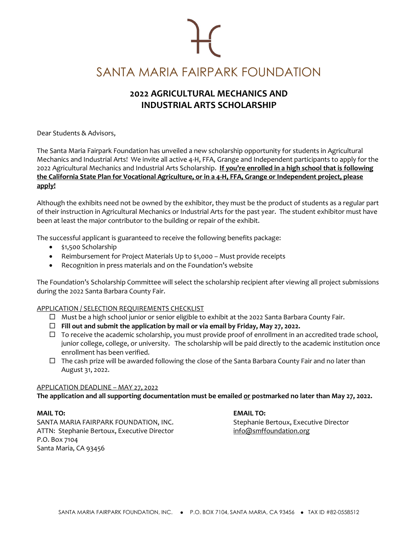# SANTA MARIA FAIRPARK FOUNDATION

## **2022 AGRICULTURAL MECHANICS AND INDUSTRIAL ARTS SCHOLARSHIP**

Dear Students & Advisors,

The Santa Maria Fairpark Foundation has unveiled a new scholarship opportunity for students in Agricultural Mechanics and Industrial Arts! We invite all active 4-H, FFA, Grange and Independent participants to apply for the 2022 Agricultural Mechanics and Industrial Arts Scholarship. **If you're enrolled in a high school that is following the California State Plan for Vocational Agriculture, or in a 4-H, FFA, Grange or Independent project, please apply!**

Although the exhibits need not be owned by the exhibitor, they must be the product of students as a regular part of their instruction in Agricultural Mechanics or Industrial Arts for the past year. The student exhibitor must have been at least the major contributor to the building or repair of the exhibit.

The successful applicant is guaranteed to receive the following benefits package:

- \$1,500 Scholarship
- Reimbursement for Project Materials Up to \$1,000 Must provide receipts
- Recognition in press materials and on the Foundation's website

The Foundation's Scholarship Committee will select the scholarship recipient after viewing all project submissions during the 2022 Santa Barbara County Fair.

#### APPLICATION / SELECTION REQUIREMENTS CHECKLIST

- $\Box$  Must be a high school junior or senior eligible to exhibit at the 2022 Santa Barbara County Fair.
- **Fill out and submit the application by mail or via email by Friday, May 27, 2022.**
- $\Box$  To receive the academic scholarship, you must provide proof of enrollment in an accredited trade school, junior college, college, or university. The scholarship will be paid directly to the academic institution once enrollment has been verified.
- $\Box$  The cash prize will be awarded following the close of the Santa Barbara County Fair and no later than August 31, 2022.

#### APPLICATION DEADLINE – MAY 27, 2022

**The application and all supporting documentation must be emailed or postmarked no later than May 27, 2022.**

#### **MAIL TO: EMAIL TO:**

SANTA MARIA FAIRPARK FOUNDATION, INC. Stephanie Bertoux, Executive Director ATTN: Stephanie Bertoux, Executive Director info@smffoundation.org P.O. Box 7104 Santa Maria, CA 93456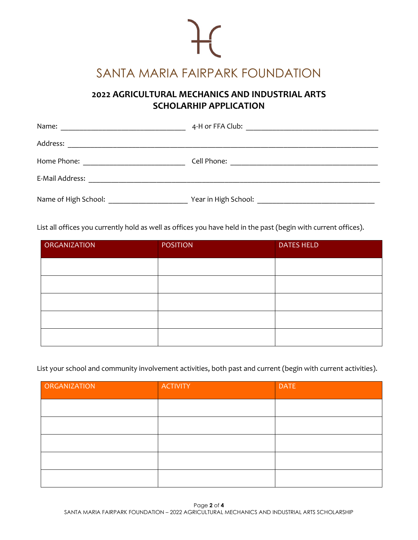# $\mathcal{H}$ SANTA MARIA FAIRPARK FOUNDATION

### **2022 AGRICULTURAL MECHANICS AND INDUSTRIAL ARTS SCHOLARHIP APPLICATION**

| Name:                                                                   |                                                                                                                                     |
|-------------------------------------------------------------------------|-------------------------------------------------------------------------------------------------------------------------------------|
| Address:<br><u> 1989 - Johann Stein, Amerikaansk politiker († 1989)</u> |                                                                                                                                     |
| Home Phone:<br><u> 1980 - Jan Barbara Barbara, maska ka</u>             | Cell Phone:<br><u> 1980 - Johann John Stein, markin fan it fjort fan de ferstjer fan it fjort fan de ferstjer fan de ferstjer f</u> |
| E-Mail Address:                                                         |                                                                                                                                     |
| Name of High School: _                                                  | Year in High School:                                                                                                                |

List all offices you currently hold as well as offices you have held in the past (begin with current offices).

| <b>ORGANIZATION</b> | <b>POSITION</b> | <b>DATES HELD</b> |
|---------------------|-----------------|-------------------|
|                     |                 |                   |
|                     |                 |                   |
|                     |                 |                   |
|                     |                 |                   |
|                     |                 |                   |

List your school and community involvement activities, both past and current (begin with current activities).

| ORGANIZATION | <b>ACTIVITY</b> | <b>DATE</b> |
|--------------|-----------------|-------------|
|              |                 |             |
|              |                 |             |
|              |                 |             |
|              |                 |             |
|              |                 |             |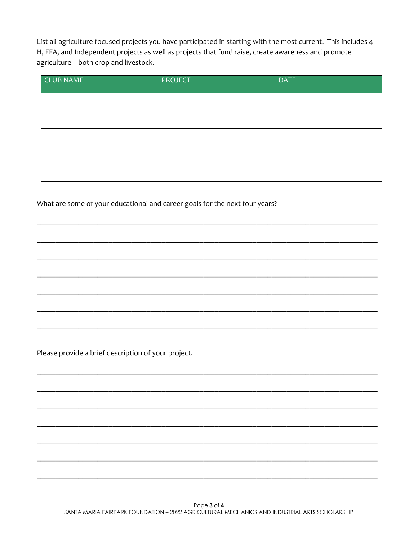List all agriculture-focused projects you have participated in starting with the most current. This includes 4-H, FFA, and Independent projects as well as projects that fund raise, create awareness and promote agriculture - both crop and livestock.

| <b>CLUB NAME</b> | <b>PROJECT</b> | <b>DATE</b> |
|------------------|----------------|-------------|
|                  |                |             |
|                  |                |             |
|                  |                |             |
|                  |                |             |
|                  |                |             |

What are some of your educational and career goals for the next four years?

Please provide a brief description of your project.